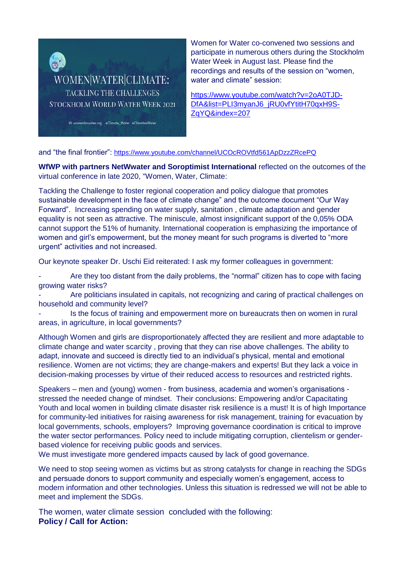

Women for Water co-convened two sessions and participate in numerous others during the Stockholm Water Week in August last. Please find the recordings and results of the session on "women, water and climate" session:

[https://www.youtube.com/watch?v=2oA0TJD-](https://www.youtube.com/watch?v=2oA0TJD-DfA&list=PLI3myanJ6_jRU0vfYtitH70qxH9S-ZqYQ&index=207)[DfA&list=PLI3myanJ6\\_jRU0vfYtitH70qxH9S-](https://www.youtube.com/watch?v=2oA0TJD-DfA&list=PLI3myanJ6_jRU0vfYtitH70qxH9S-ZqYQ&index=207)[ZqYQ&index=207](https://www.youtube.com/watch?v=2oA0TJD-DfA&list=PLI3myanJ6_jRU0vfYtitH70qxH9S-ZqYQ&index=207)

and "the final frontier": <https://www.youtube.com/channel/UCOcROVtfd561ApDzzZRcePQ>

**WfWP with partners NetWwater and Soroptimist International** reflected on the outcomes of the virtual conference in late 2020, "Women, Water, Climate:

Tackling the Challenge to foster regional cooperation and policy dialogue that promotes sustainable development in the face of climate change" and the outcome document "Our Way Forward". Increasing spending on water supply, sanitation , climate adaptation and gender equality is not seen as attractive. The miniscule, almost insignificant support of the 0,05% ODA cannot support the 51% of humanity. International cooperation is emphasizing the importance of women and girl's empowerment, but the money meant for such programs is diverted to "more urgent" activities and not increased.

Our keynote speaker Dr. Uschi Eid reiterated: I ask my former colleagues in government:

Are they too distant from the daily problems, the "normal" citizen has to cope with facing growing water risks?

Are politicians insulated in capitals, not recognizing and caring of practical challenges on household and community level?

Is the focus of training and empowerment more on bureaucrats then on women in rural areas, in agriculture, in local governments?

Although Women and girls are disproportionately affected they are resilient and more adaptable to climate change and water scarcity , proving that they can rise above challenges. The ability to adapt, innovate and succeed is directly tied to an individual's physical, mental and emotional resilience. Women are not victims; they are change-makers and experts! But they lack a voice in decision-making processes by virtue of their reduced access to resources and restricted rights.

Speakers – men and (young) women - from business, academia and women's organisations stressed the needed change of mindset. Their conclusions: Empowering and/or Capacitating Youth and local women in building climate disaster risk resilience is a must! It is of high Importance for community-led initiatives for raising awareness for risk management, training for evacuation by local governments, schools, employers? Improving governance coordination is critical to improve the water sector performances. Policy need to include mitigating corruption, clientelism or genderbased violence for receiving public goods and services.

We must investigate more gendered impacts caused by lack of good governance.

We need to stop seeing women as victims but as strong catalysts for change in reaching the SDGs and persuade donors to support community and especially women's engagement, access to modern information and other technologies. Unless this situation is redressed we will not be able to meet and implement the SDGs.

The women, water climate session concluded with the following: **Policy / Call for Action:**